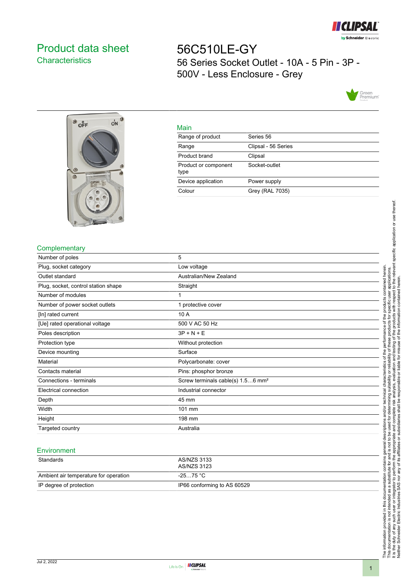

# <span id="page-0-0"></span>Product data sheet **Characteristics**

56C510LE-GY 56 Series Socket Outlet - 10A - 5 Pin - 3P - 500V - Less Enclosure - Grey





|    | ۹ |
|----|---|
|    |   |
| __ |   |

| <u>ividili</u>               |                     |
|------------------------------|---------------------|
| Range of product             | Series 56           |
| Range                        | Clipsal - 56 Series |
| Product brand                | Clipsal             |
| Product or component<br>type | Socket-outlet       |
| Device application           | Power supply        |
| Colour                       | Grey (RAL 7035)     |
|                              |                     |

## **Complementary**

| Number of poles                     | 5                                             |
|-------------------------------------|-----------------------------------------------|
| Plug, socket category               | Low voltage                                   |
| Outlet standard                     | Australian/New Zealand                        |
| Plug, socket, control station shape | Straight                                      |
| Number of modules                   |                                               |
| Number of power socket outlets      | 1 protective cover                            |
| [In] rated current                  | 10 A                                          |
| [Ue] rated operational voltage      | 500 V AC 50 Hz                                |
| Poles description                   | $3P + N + E$                                  |
| Protection type                     | Without protection                            |
| Device mounting                     | Surface                                       |
| Material                            | Polycarbonate: cover                          |
| Contacts material                   | Pins: phosphor bronze                         |
| Connections - terminals             | Screw terminals cable(s) 1.56 mm <sup>2</sup> |
| Electrical connection               | Industrial connector                          |
| Depth                               | 45 mm                                         |
| Width                               | 101 mm                                        |
| Height                              | 198 mm                                        |
| Targeted country                    | Australia                                     |

#### **Environment**

| Standards                             | AS/NZS 3133<br>AS/NZS 3123  |
|---------------------------------------|-----------------------------|
| Ambient air temperature for operation | -25…75 °C                   |
| IP degree of protection               | IP66 conforming to AS 60529 |